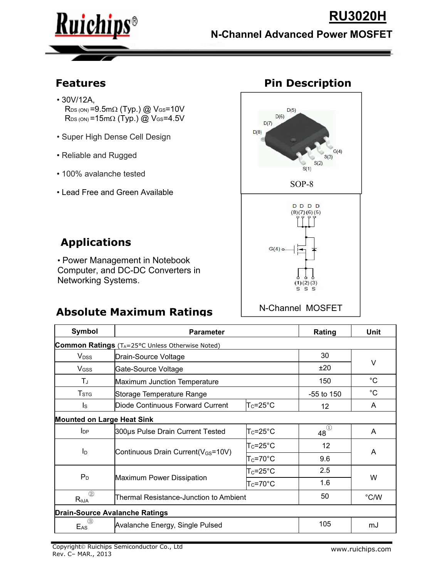

**MOSE** 

- 30V/12A,  $R_{DS (ON)} = 9.5 \text{m}\Omega \text{ (Typ.)} \textcircled{2} \text{V}_\text{GS} = 10 \text{V}$  $R_{DS (ON)} = 15 \text{m}\Omega \text{ (Typ.)} \textcircled{2} \text{ V}_{GS} = 4.5 \text{V}$
- Super High Dense Cell Design **Example 2018** D(8)
- Reliable and Rugged
- 100% avalanche tested
- Lead Free and Green Available



### **Applications**

• Power Management in Notebook Computer, and DC-DC Converters in Networking Systems.

## **Absolute Maximum Ratings**

| Symbol                       | <b>Parameter</b>                                       | Rating                                                  | Unit        |   |  |
|------------------------------|--------------------------------------------------------|---------------------------------------------------------|-------------|---|--|
|                              | <b>Common Ratings</b> (TA=25°C Unless Otherwise Noted) |                                                         |             |   |  |
| <b>V</b> <sub>DSS</sub>      | Drain-Source Voltage                                   | 30                                                      | V           |   |  |
| V <sub>GSS</sub>             | Gate-Source Voltage                                    | ±20                                                     |             |   |  |
| $T_J$                        | Maximum Junction Temperature                           | 150                                                     | $^{\circ}C$ |   |  |
| T <sub>STG</sub>             | Storage Temperature Range                              | $-55$ to $150$                                          | $^{\circ}C$ |   |  |
| Is                           | Diode Continuous Forward Current                       | $\mathsf{T}_{\mathsf{C}}$ =25°C                         | 12          | A |  |
|                              | <b>Mounted on Large Heat Sink</b>                      |                                                         |             |   |  |
| $I_{\text{DP}}$              | 300us Pulse Drain Current Tested                       | $\mathsf{T}_{\mathsf{C}}\texttt{=25}^{\circ}\mathsf{C}$ | $48^\circ$  | A |  |
| I <sub>D</sub>               |                                                        | $\mathsf{T}_{\mathsf{C}}$ =25°C                         | 12          | A |  |
|                              | Continuous Drain Current(V <sub>GS</sub> =10V)         | $\mathsf{T}_{\mathsf{C}}$ =70°C                         | 9.6         |   |  |
| $P_D$                        |                                                        | $Tc = 25^{\circ}C$                                      | 2.5         |   |  |
|                              | Maximum Power Dissipation                              | 1.6                                                     | W           |   |  |
| (2)<br>$R_{\theta$ JA        | Thermal Resistance-Junction to Ambient                 | 50                                                      | °C/W        |   |  |
|                              | <b>Drain-Source Avalanche Ratings</b>                  |                                                         |             |   |  |
| $\left(3\right)$<br>$E_{AS}$ | Avalanche Energy, Single Pulsed                        | 105                                                     | mJ          |   |  |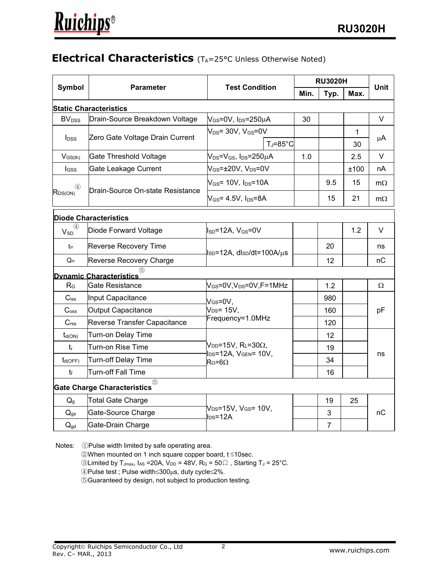#### **Electrical Characteristics** (T<sub>A</sub>=25°C Unless Otherwise Noted)

|                          |                                           |                                                                    | <b>RU3020H</b> |                |      |             |  |
|--------------------------|-------------------------------------------|--------------------------------------------------------------------|----------------|----------------|------|-------------|--|
| Symbol                   | <b>Parameter</b>                          | <b>Test Condition</b>                                              | Min.           | Typ.           | Max. | <b>Unit</b> |  |
|                          | <b>Static Characteristics</b>             |                                                                    |                |                |      |             |  |
| <b>BV</b> <sub>DSS</sub> | Drain-Source Breakdown Voltage            | $\mathsf{V}_{\mathsf{GS}}$ =0V, I <sub>DS</sub> =250µA             | 30             |                |      | $\vee$      |  |
|                          |                                           | $\mathsf{V}_\mathsf{DS}$ = 30V, V $_\mathsf{GS}$ =0V               |                |                | 1    |             |  |
| $I_{DSS}$                | Zero Gate Voltage Drain Current           | $T_J = 85^\circ C$                                                 |                |                | 30   | $\mu$ A     |  |
| $V_{GS(th)}$             | Gate Threshold Voltage                    | $V_{DS} = V_{GS}$ , I <sub>DS</sub> =250µA                         | 1.0            |                | 2.5  | $\vee$      |  |
| <b>I</b> GSS             | Gate Leakage Current                      | $V_{GS}$ = $\pm$ 20V, V <sub>DS</sub> =0V                          |                |                | ±100 | nA          |  |
| ④<br>$R_{DS(ON)}$        | Drain-Source On-state Resistance          | $\rm{V_{GS}}$ = 10V, I $\rm{_{DS}}$ =10A                           |                | 9.5            | 15   | $m\Omega$   |  |
|                          |                                           | $\mathsf{V}_{\mathsf{GS}}$ = 4.5V, I $_{\mathsf{DS}}$ =8A          |                | 15             | 21   | $m\Omega$   |  |
|                          | <b>Diode Characteristics</b>              |                                                                    |                |                |      |             |  |
| $V_{SD}$                 | Diode Forward Voltage                     | $\parallel_{SD} = 12A, V_{GS} = 0V$                                |                |                | 1.2  | $\vee$      |  |
| tr                       | <b>Reverse Recovery Time</b>              | lsp=12A, dlsp/dt=100A/μs                                           |                | 20             |      | ns          |  |
| $Q_{rr}$                 | Reverse Recovery Charge                   |                                                                    |                | 12             |      | nC          |  |
|                          | <b>Dynamic Characteristics</b>            |                                                                    |                |                |      |             |  |
| R <sub>G</sub>           | Gate Resistance                           | $V_{GS}$ =0V,V $_{DS}$ =0V,F=1MHz                                  |                | 1.2            |      | $\Omega$    |  |
| $C_{iss}$                | Input Capacitance                         | $V$ <sub>GS</sub> =0V,                                             |                | 980            |      | pF          |  |
| $C_{\text{oss}}$         | Output Capacitance                        | $V_{DS} = 15V,$                                                    |                | 160            |      |             |  |
| C <sub>rss</sub>         | Reverse Transfer Capacitance              | Frequency=1.0MHz                                                   |                | 120            |      |             |  |
| $t_{d(ON)}$              | Turn-on Delay Time                        |                                                                    |                | 12             |      |             |  |
| $t_{r}$                  | Turn-on Rise Time                         | $\mathsf{V}_{\mathsf{DD}}$ =15V, RL=30 $\Omega$ ,                  |                | 19             |      |             |  |
| $t_{d(OFF)}$             | Turn-off Delay Time                       | IDS=12A, VGEN= 10V,<br>$R$ G=6 $\Omega$                            |                | 34             |      | ns          |  |
| $t_{\rm f}$              | Turn-off Fall Time                        |                                                                    |                | 16             |      |             |  |
|                          | (5)<br><b>Gate Charge Characteristics</b> |                                                                    |                |                |      |             |  |
| $Q_g$                    | Total Gate Charge                         |                                                                    |                | 19             | 25   |             |  |
| $Q_{gs}$                 | Gate-Source Charge                        | V <sub>DS</sub> =15V, V <sub>GS</sub> = 10V,<br>$\textsf{los}=12A$ |                | 3              |      | nC          |  |
| $Q_{gd}$                 | Gate-Drain Charge                         |                                                                    |                | $\overline{7}$ |      |             |  |

Notes: ①Pulse width limited by safe operating area.

 $@$ When mounted on 1 inch square copper board, t  $≤10$ sec.

 $\odot$ Limited by T<sub>Jmax</sub>, I<sub>AS</sub> = 20A, V<sub>DD</sub> = 48V, R<sub>G</sub> = 50Ω, Starting T<sub>J</sub> = 25°C.

 $\circledA$ Pulse test ; Pulse width  $\leq$ 300 $\mu$ s, duty cycle  $\leq$ 2%.

⑤Guaranteed by design, not subject to production testing.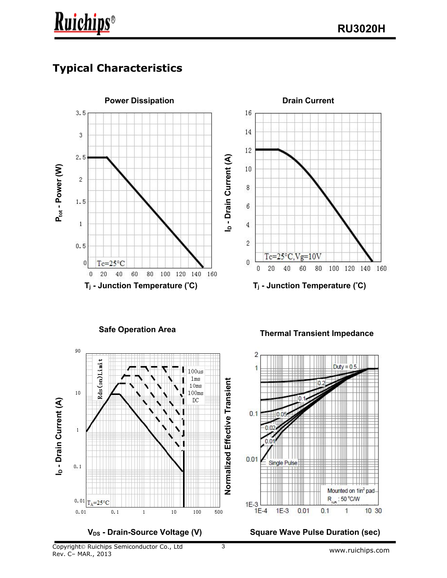# **Typical Characteristics**

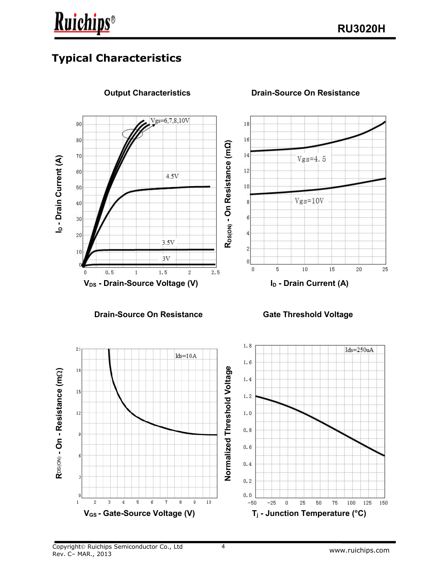## **Typical Characteristics**

**Ruichips**®



**Output Characteristics Drain-Source On Resistance**

**Normalized Threshold Voltage R**DS(ON) - **On - Resistance (mΩ)**<br>అంత అంత జ **R**DS(ON) **- On - Resistance (m**  $\mathbf 0$  $0.0$  $\overline{5}$  $\overline{9}$  $10$  $\mathbf{1}$  $\mathfrak{p}$  $\overline{\mathbf{4}}$ ĥ  $\overline{8}$ 25  $50$ 75 100 125  $-50$  $-25$  $\overline{0}$ 150 **VGS - Gate-Source Voltage (V) T<sup>j</sup> - Junction Temperature (°C)**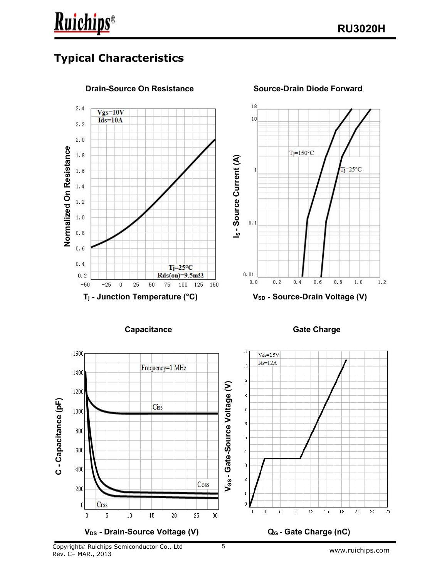### **Typical Characteristics**

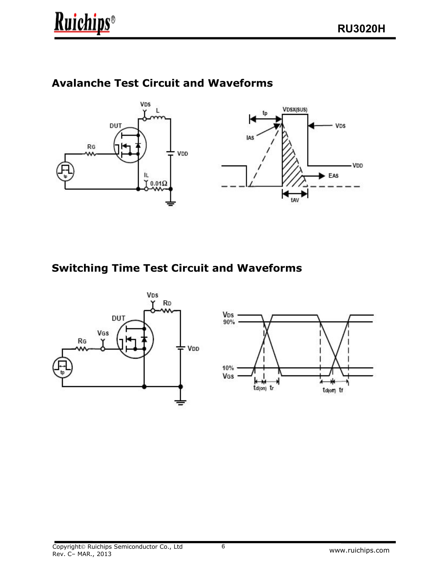

#### **Avalanche Test Circuit and Waveforms**



#### **Switching Time Test Circuit and Waveforms**



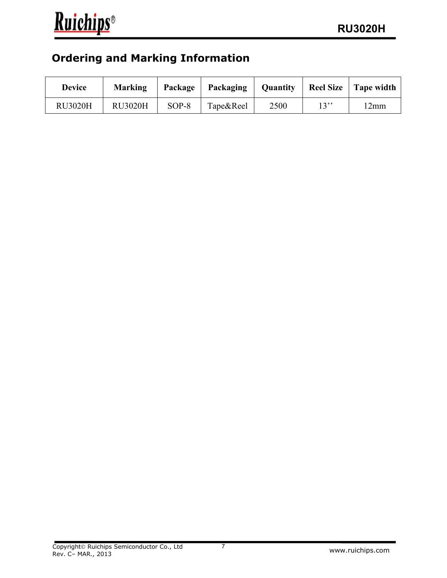## **Ordering and Marking Information**

| <b>Device</b>  | <b>Marking</b> | Package | Packaging | <b>Quantity</b> | <b>Reel Size</b> | Tape width |
|----------------|----------------|---------|-----------|-----------------|------------------|------------|
| <b>RU3020H</b> | <b>RU3020H</b> | $SOP-8$ | Tape&Reel | 2500            | 1222<br>. J      | 2mm        |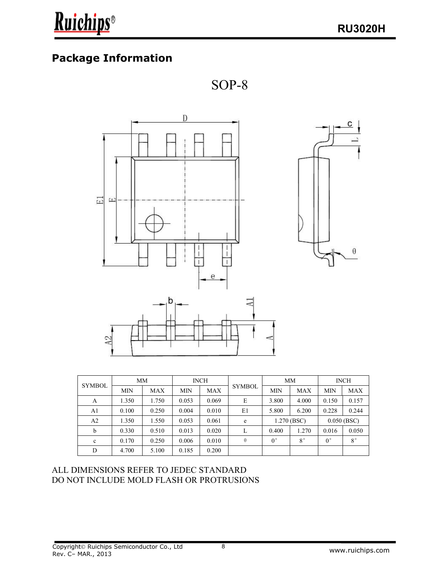### **Package Information**





| <b>SYMBOL</b>  | <b>MM</b>  |            | <b>INCH</b> |            |               | MM            |             | <b>INCH</b>   |             |
|----------------|------------|------------|-------------|------------|---------------|---------------|-------------|---------------|-------------|
|                | <b>MIN</b> | <b>MAX</b> | <b>MIN</b>  | <b>MAX</b> | <b>SYMBOL</b> | <b>MIN</b>    | <b>MAX</b>  | <b>MIN</b>    | <b>MAX</b>  |
| A              | .350       | 1.750      | 0.053       | 0.069      | E             | 3.800         | 4.000       | 0.150         | 0.157       |
| A <sub>1</sub> | 0.100      | 0.250      | 0.004       | 0.010      | E1            | 5.800         | 6.200       | 0.228         | 0.244       |
| A <sub>2</sub> | 1.350      | 1.550      | 0.053       | 0.061      | e             | $1.270$ (BSC) |             | $0.050$ (BSC) |             |
| b              | 0.330      | 0.510      | 0.013       | 0.020      | ⊥             | 0.400         | 1.270       | 0.016         | 0.050       |
| $\mathbf c$    | 0.170      | 0.250      | 0.006       | 0.010      | $\theta$      | $0^{\circ}$   | $8^{\circ}$ | $0^{\circ}$   | $8^{\circ}$ |
| D              | 4.700      | 5.100      | 0.185       | 0.200      |               |               |             |               |             |

#### ALL DIMENSIONS REFER TO JEDEC STANDARD DO NOT INCLUDE MOLD FLASH OR PROTRUSIONS